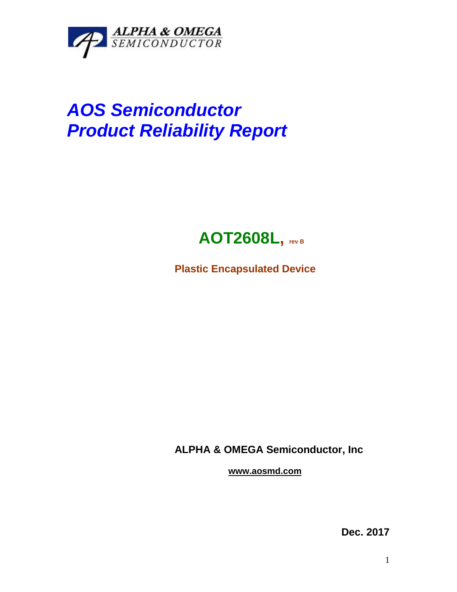

## *AOS Semiconductor Product Reliability Report*



**Plastic Encapsulated Device**

**ALPHA & OMEGA Semiconductor, Inc**

**www.aosmd.com**

**Dec. 2017**